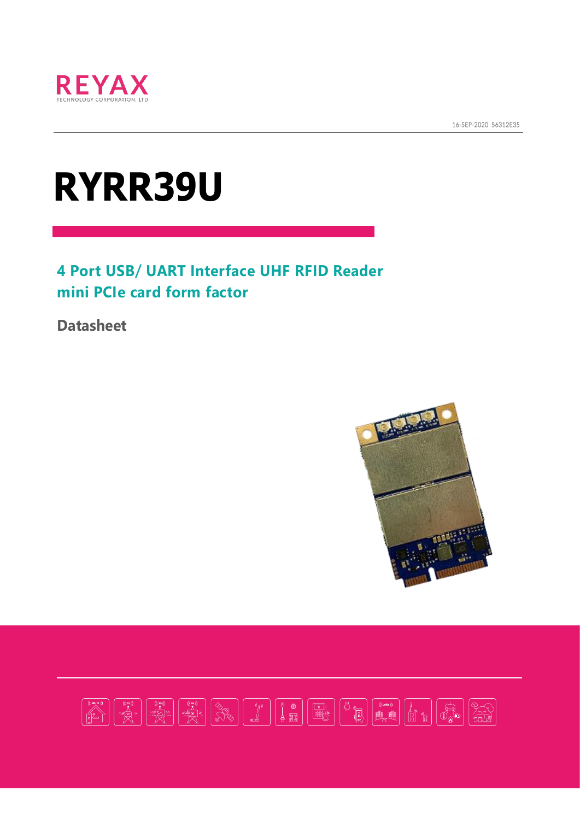

16-SEP-2020 56312E35

# **RYRR39U**

#### **4 Port USB/ UART Interface UHF RFID Reader mini PCIe card form factor**

**Datasheet**



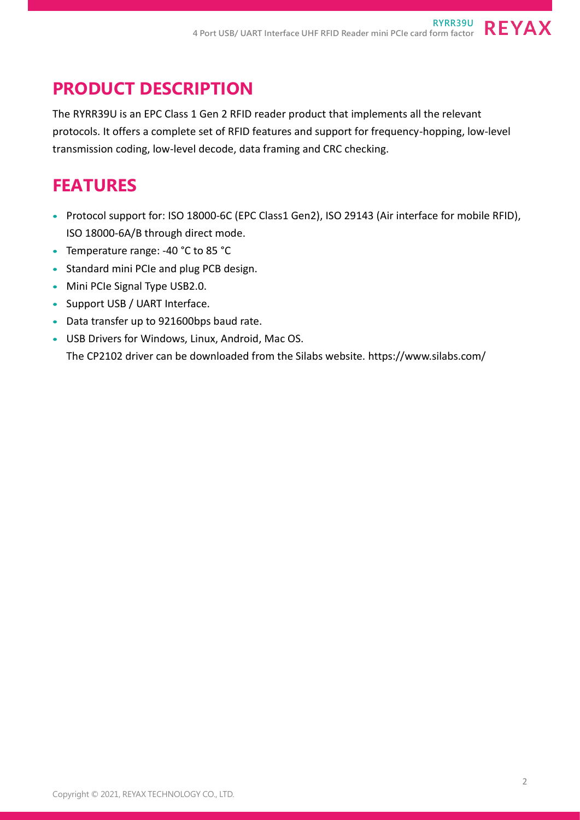# **PRODUCT DESCRIPTION**

The RYRR39U is an EPC Class 1 Gen 2 RFID reader product that implements all the relevant protocols. It offers a complete set of RFID features and support for frequency-hopping, low-level transmission coding, low-level decode, data framing and CRC checking.

### **FEATURES**

- Protocol support for: ISO 18000-6C (EPC Class1 Gen2), ISO 29143 (Air interface for mobile RFID), ISO 18000-6A/B through direct mode.
- Temperature range: -40 °C to 85 °C
- Standard mini PCIe and plug PCB design.
- Mini PCIe Signal Type USB2.0.
- Support USB / UART Interface.
- Data transfer up to 921600bps baud rate.
- USB Drivers for Windows, Linux, Android, Mac OS. The CP2102 driver can be downloaded from the Silabs website. https://www.silabs.com/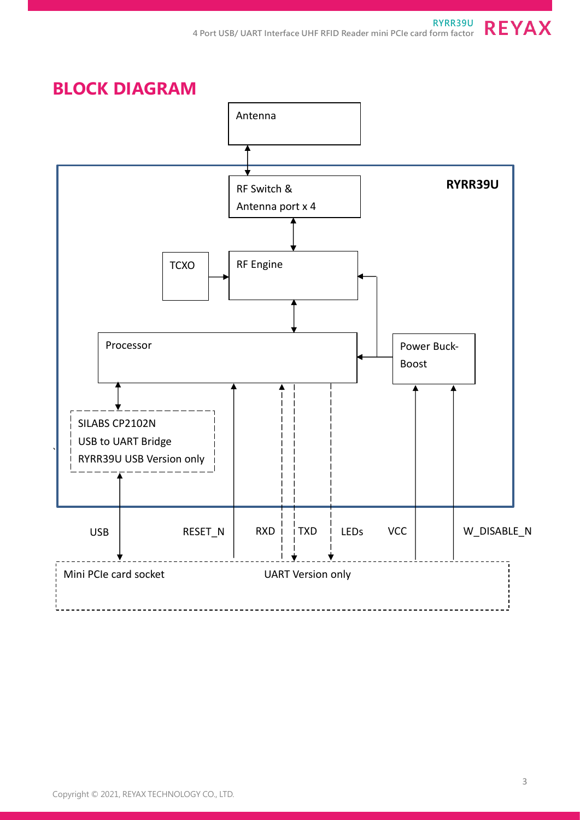**BLOCK DIAGRAM** ` RXD | TXD Processor RF Switch & Antenna port x 4 **TCXO** Mini PCIe card socket UART Version only RF Engine Power Buck-Boost USB **RYRR39U** SILABS CP2102N USB to UART Bridge RYRR39U USB Version only LEDs VCC | W\_DISABLE\_N Antenna  $RESET_N$ 

#### Copyright © 2021, REYAX TECHNOLOGY CO., LTD.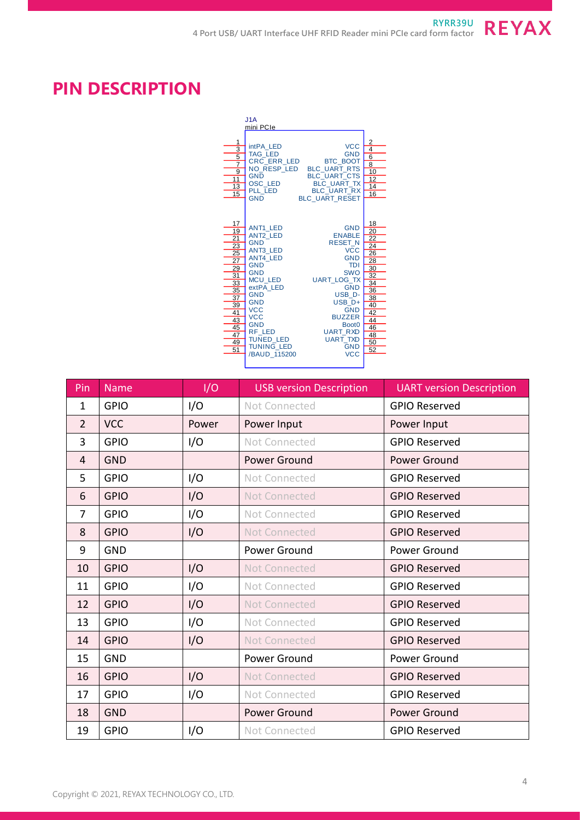## **PIN DESCRIPTION**

|                                                                                                                                                 | J1A                                                                                                                                                                                                                                                                                        |                                                                                                                                                                                                                                                                                                |                                                                                                          |
|-------------------------------------------------------------------------------------------------------------------------------------------------|--------------------------------------------------------------------------------------------------------------------------------------------------------------------------------------------------------------------------------------------------------------------------------------------|------------------------------------------------------------------------------------------------------------------------------------------------------------------------------------------------------------------------------------------------------------------------------------------------|----------------------------------------------------------------------------------------------------------|
|                                                                                                                                                 | mini PCIe                                                                                                                                                                                                                                                                                  |                                                                                                                                                                                                                                                                                                |                                                                                                          |
| 1<br>3<br>$\overline{5}$<br>$\overline{7}$<br>9<br>$\overline{11}$<br>13<br>15                                                                  | intPA LED<br><b>TAG LED</b><br>CRC ERR LED<br><b>GND</b><br>OSC_LED<br>PLL LED<br><b>GND</b>                                                                                                                                                                                               | <b>VCC</b><br><b>GND</b><br><b>BTC BOOT</b><br>NO_RESP_LED BLC_UART_RTS<br><b>BLC UART CTS</b><br><b>BLC UART TX</b><br><b>BLC UART RX</b><br><b>BLC UART RESET</b>                                                                                                                            | 2<br>4<br>$\overline{6}$<br>$\overline{8}$<br>10<br>$\overline{12}$<br>14<br>$\overline{16}$             |
| 17<br>19<br>21<br>$\overline{23}$<br>$\overline{25}$<br>$\overline{27}$<br>29<br>31<br>33<br>35<br>37<br>39<br>41<br>43<br>45<br>47<br>49<br>51 | <b>ANT1 LED</b><br><b>ANT2 LED</b><br><b>GND</b><br><b>ANT3 LED</b><br><b>ANT4 LED</b><br><b>GND</b><br><b>GND</b><br><b>MCU LED</b><br>extPA LED<br><b>GND</b><br><b>GND</b><br><b>VCC</b><br><b>VCC</b><br><b>GND</b><br>RF LED<br><b>TUNED LED</b><br><b>TUNING LED</b><br>/BAUD 115200 | <b>GND</b><br><b>ENABLE</b><br><b>RESET N</b><br><b>VCC</b><br><b>GND</b><br><b>TDI</b><br><b>SWO</b><br><b>UART LOG TX</b><br><b>GND</b><br>USB_D-<br>USB <sub>D+</sub><br><b>GND</b><br><b>BUZZER</b><br>Boot <sub>0</sub><br><b>UART RXD</b><br><b>UART TXD</b><br><b>GND</b><br><b>VCC</b> | 18<br>20<br>22<br>24<br>26<br>28<br>30<br>32<br>34<br>36<br>38<br>40<br>42<br>44<br>46<br>48<br>50<br>52 |

| Pin            | <b>Name</b> | I/O   | <b>USB version Description</b> | <b>UART version Description</b> |
|----------------|-------------|-------|--------------------------------|---------------------------------|
| $\mathbf{1}$   | <b>GPIO</b> | I/O   | Not Connected                  | <b>GPIO Reserved</b>            |
| $\overline{2}$ | <b>VCC</b>  | Power | Power Input                    | Power Input                     |
| 3              | <b>GPIO</b> | I/O   | Not Connected                  | <b>GPIO Reserved</b>            |
| $\overline{4}$ | <b>GND</b>  |       | Power Ground                   | Power Ground                    |
| 5              | <b>GPIO</b> | I/O   | Not Connected                  | <b>GPIO Reserved</b>            |
| 6              | <b>GPIO</b> | I/O   | <b>Not Connected</b>           | <b>GPIO Reserved</b>            |
| $\overline{7}$ | <b>GPIO</b> | I/O   | Not Connected                  | <b>GPIO Reserved</b>            |
| 8              | <b>GPIO</b> | I/O   | <b>Not Connected</b>           | <b>GPIO Reserved</b>            |
| 9              | <b>GND</b>  |       | Power Ground                   | Power Ground                    |
| 10             | <b>GPIO</b> | I/O   | Not Connected                  | <b>GPIO Reserved</b>            |
| 11             | <b>GPIO</b> | I/O   | Not Connected                  | <b>GPIO Reserved</b>            |
| 12             | <b>GPIO</b> | I/O   | <b>Not Connected</b>           | <b>GPIO Reserved</b>            |
| 13             | <b>GPIO</b> | I/O   | Not Connected                  | <b>GPIO Reserved</b>            |
| 14             | <b>GPIO</b> | I/O   | <b>Not Connected</b>           | <b>GPIO Reserved</b>            |
| 15             | <b>GND</b>  |       | Power Ground                   | Power Ground                    |
| 16             | <b>GPIO</b> | I/O   | <b>Not Connected</b>           | <b>GPIO Reserved</b>            |
| 17             | <b>GPIO</b> | I/O   | Not Connected                  | <b>GPIO Reserved</b>            |
| 18             | <b>GND</b>  |       | Power Ground                   | Power Ground                    |
| 19             | <b>GPIO</b> | I/O   | Not Connected                  | <b>GPIO Reserved</b>            |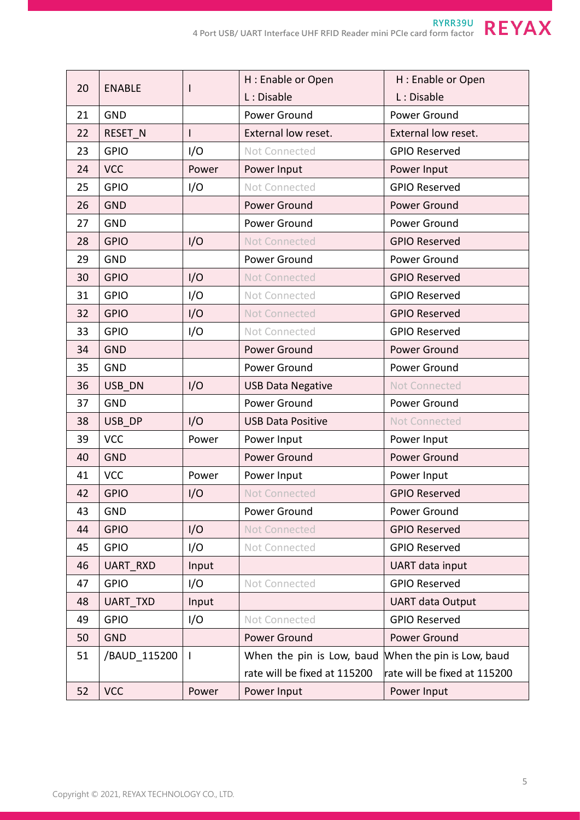|                     |                 |       | H: Enable or Open            | H : Enable or Open           |  |
|---------------------|-----------------|-------|------------------------------|------------------------------|--|
| 20<br><b>ENABLE</b> |                 |       | L: Disable                   | L: Disable                   |  |
| 21                  | <b>GND</b>      |       | Power Ground                 | Power Ground                 |  |
| 22                  | RESET_N         | I     | External low reset.          | External low reset.          |  |
| 23                  | <b>GPIO</b>     | I/O   | Not Connected                | <b>GPIO Reserved</b>         |  |
| 24                  | <b>VCC</b>      | Power | Power Input                  | Power Input                  |  |
| 25                  | <b>GPIO</b>     | I/O   | Not Connected                | <b>GPIO Reserved</b>         |  |
| 26                  | <b>GND</b>      |       | Power Ground                 | Power Ground                 |  |
| 27                  | <b>GND</b>      |       | Power Ground                 | Power Ground                 |  |
| 28                  | <b>GPIO</b>     | I/O   | Not Connected                | <b>GPIO Reserved</b>         |  |
| 29                  | <b>GND</b>      |       | Power Ground                 | Power Ground                 |  |
| 30                  | <b>GPIO</b>     | I/O   | <b>Not Connected</b>         | <b>GPIO Reserved</b>         |  |
| 31                  | <b>GPIO</b>     | I/O   | Not Connected                | <b>GPIO Reserved</b>         |  |
| 32                  | <b>GPIO</b>     | I/O   | <b>Not Connected</b>         | <b>GPIO Reserved</b>         |  |
| 33                  | <b>GPIO</b>     | I/O   | Not Connected                | <b>GPIO Reserved</b>         |  |
| 34                  | <b>GND</b>      |       | Power Ground                 | <b>Power Ground</b>          |  |
| 35                  | <b>GND</b>      |       | Power Ground                 | Power Ground                 |  |
| 36                  | USB DN          | I/O   | <b>USB Data Negative</b>     | <b>Not Connected</b>         |  |
| 37                  | <b>GND</b>      |       | Power Ground                 | Power Ground                 |  |
| 38                  | USB DP          | I/O   | <b>USB Data Positive</b>     | <b>Not Connected</b>         |  |
| 39                  | <b>VCC</b>      | Power | Power Input                  | Power Input                  |  |
| 40                  | <b>GND</b>      |       | Power Ground                 | Power Ground                 |  |
| 41                  | <b>VCC</b>      | Power | Power Input                  | Power Input                  |  |
| 42                  | <b>GPIO</b>     | I/O   | <b>Not Connected</b>         | <b>GPIO Reserved</b>         |  |
| 43                  | <b>GND</b>      |       | Power Ground                 | Power Ground                 |  |
| 44                  | <b>GPIO</b>     | I/O   | <b>Not Connected</b>         | <b>GPIO Reserved</b>         |  |
| 45                  | <b>GPIO</b>     | I/O   | Not Connected                | <b>GPIO Reserved</b>         |  |
| 46                  | <b>UART RXD</b> | Input |                              | UART data input              |  |
| 47                  | <b>GPIO</b>     | I/O   | Not Connected                | <b>GPIO Reserved</b>         |  |
| 48                  | <b>UART TXD</b> | Input |                              | <b>UART data Output</b>      |  |
| 49                  | <b>GPIO</b>     | I/O   | Not Connected                | <b>GPIO Reserved</b>         |  |
| 50                  | <b>GND</b>      |       | Power Ground                 | <b>Power Ground</b>          |  |
| 51                  | /BAUD 115200    | I     | When the pin is Low, baud    | When the pin is Low, baud    |  |
|                     |                 |       | rate will be fixed at 115200 | rate will be fixed at 115200 |  |
| 52                  | <b>VCC</b>      | Power | Power Input                  | Power Input                  |  |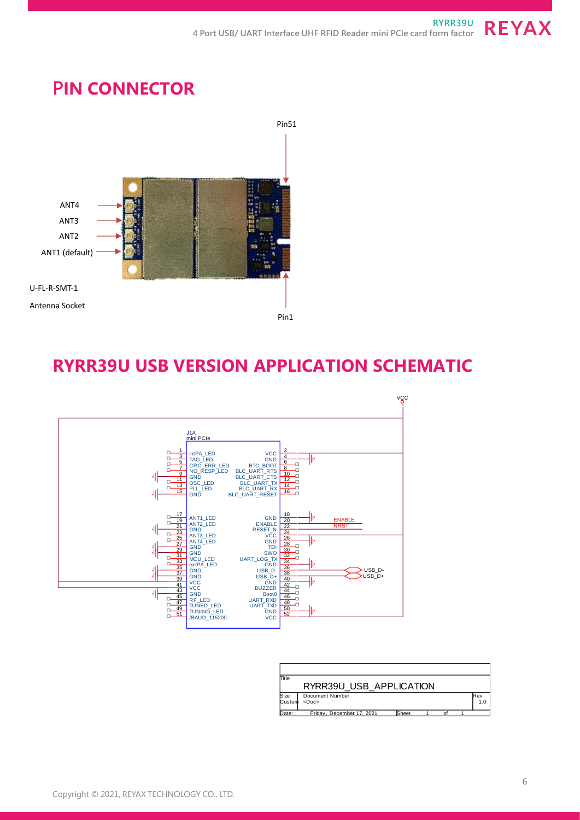### **PIN CONNECTOR**



### **RYRR39U USB VERSION APPLICATION SCHEMATIC**



| Title  |                           |       |  |     |
|--------|---------------------------|-------|--|-----|
|        | RYRR39U USB APPLICATION   |       |  |     |
| Size   | Document Number           |       |  | Rev |
| Custom | $<$ Doc>                  |       |  | 1.0 |
| Date:  | Friday, December 17, 2021 | Sheet |  |     |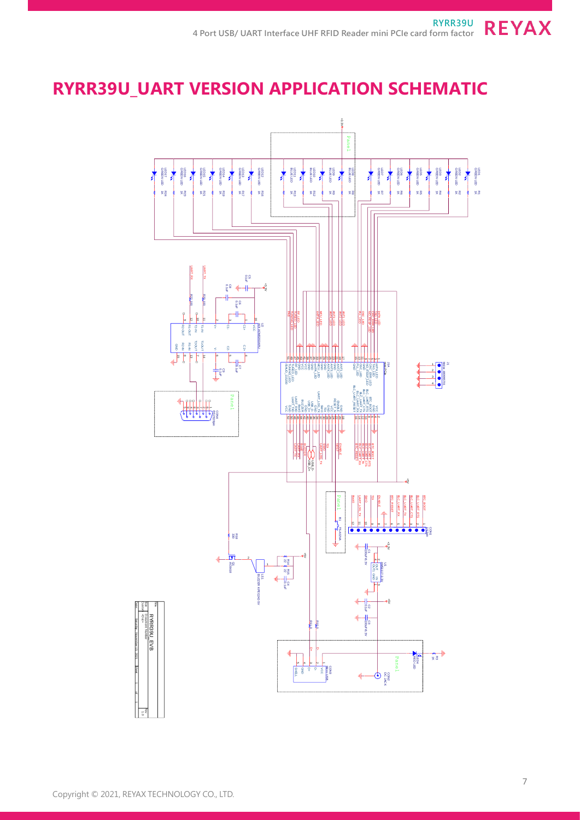# **RYRR39U\_UART VERSION APPLICATION SCHEMATIC**

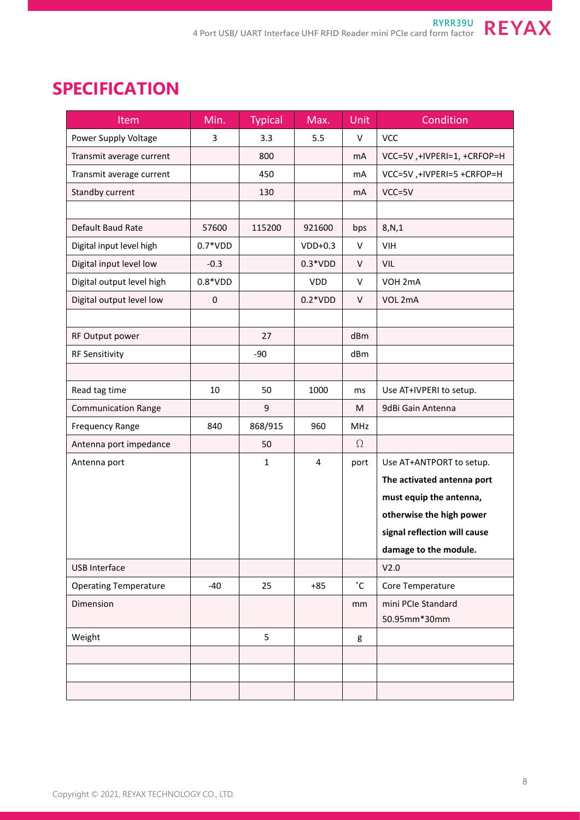# **SPECIFICATION**

| Item                         | Min.      | <b>Typical</b> | Max.       | Unit         | Condition                    |
|------------------------------|-----------|----------------|------------|--------------|------------------------------|
| Power Supply Voltage         | 3         | 3.3            | 5.5        | V            | <b>VCC</b>                   |
| Transmit average current     |           | 800            |            | mA           | VCC=5V, +IVPERI=1, +CRFOP=H  |
| Transmit average current     |           | 450            |            | mA           | VCC=5V, +IVPERI=5 +CRFOP=H   |
| Standby current              |           | 130            |            | mA           | $VCC = 5V$                   |
|                              |           |                |            |              |                              |
| Default Baud Rate            | 57600     | 115200         | 921600     | bps          | 8,N,1                        |
| Digital input level high     | $0.7*VDD$ |                | $VDD+0.3$  | V            | <b>VIH</b>                   |
| Digital input level low      | $-0.3$    |                | $0.3*VDD$  | V            | VIL                          |
| Digital output level high    | $0.8*VDD$ |                | <b>VDD</b> | V            | VOH 2mA                      |
| Digital output level low     | $\pmb{0}$ |                | $0.2*VDD$  | V            | VOL 2mA                      |
|                              |           |                |            |              |                              |
| RF Output power              |           | 27             |            | dBm          |                              |
| <b>RF Sensitivity</b>        |           | $-90$          |            | dBm          |                              |
|                              |           |                |            |              |                              |
| Read tag time                | 10        | 50             | 1000       | ms           | Use AT+IVPERI to setup.      |
| <b>Communication Range</b>   |           | 9              |            | М            | 9dBi Gain Antenna            |
| <b>Frequency Range</b>       | 840       | 868/915        | 960        | MHz          |                              |
| Antenna port impedance       |           | 50             |            | $\Omega$     |                              |
| Antenna port                 |           | $\mathbf{1}$   | 4          | port         | Use AT+ANTPORT to setup.     |
|                              |           |                |            |              | The activated antenna port   |
|                              |           |                |            |              | must equip the antenna,      |
|                              |           |                |            |              | otherwise the high power     |
|                              |           |                |            |              | signal reflection will cause |
|                              |           |                |            |              | damage to the module.        |
| <b>USB Interface</b>         |           |                |            |              | V2.0                         |
| <b>Operating Temperature</b> | $-40$     | 25             | $+85$      | $\mathsf{C}$ | Core Temperature             |
| Dimension                    |           |                |            | mm           | mini PCIe Standard           |
|                              |           |                |            |              | 50.95mm*30mm                 |
| Weight                       |           | 5              |            | g            |                              |
|                              |           |                |            |              |                              |
|                              |           |                |            |              |                              |
|                              |           |                |            |              |                              |